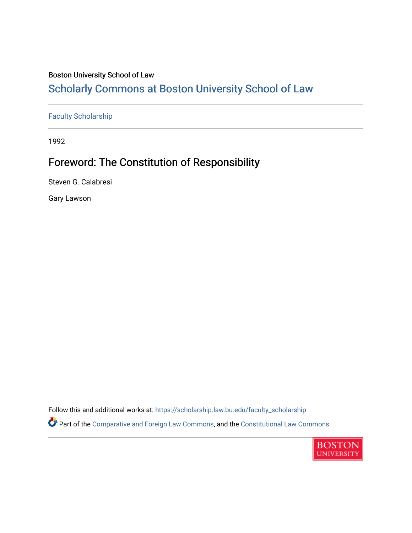### Boston University School of Law

## [Scholarly Commons at Boston University School of Law](https://scholarship.law.bu.edu/)

[Faculty Scholarship](https://scholarship.law.bu.edu/faculty_scholarship)

1992

# Foreword: The Constitution of Responsibility

Steven G. Calabresi

Gary Lawson

Follow this and additional works at: [https://scholarship.law.bu.edu/faculty\\_scholarship](https://scholarship.law.bu.edu/faculty_scholarship?utm_source=scholarship.law.bu.edu%2Ffaculty_scholarship%2F2684&utm_medium=PDF&utm_campaign=PDFCoverPages) Part of the [Comparative and Foreign Law Commons,](https://network.bepress.com/hgg/discipline/836?utm_source=scholarship.law.bu.edu%2Ffaculty_scholarship%2F2684&utm_medium=PDF&utm_campaign=PDFCoverPages) and the [Constitutional Law Commons](https://network.bepress.com/hgg/discipline/589?utm_source=scholarship.law.bu.edu%2Ffaculty_scholarship%2F2684&utm_medium=PDF&utm_campaign=PDFCoverPages)

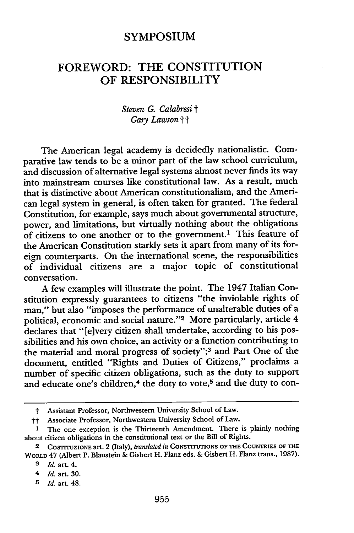#### **SYMPOSIUM**

### FOREWORD: THE CONSTITUTION OF RESPONSIBILITY

#### *Steven* **G.** *Calabresi t Gary Lawson tt*

The American legal academy is decidedly nationalistic. Comparative law tends to be a minor part of the law school curriculum, and discussion of alternative legal systems almost never finds its way into mainstream courses like constitutional law. As a result, much that is distinctive about American constitutionalism, and the American legal system in general, is often taken for granted. The federal Constitution, for example, says much about governmental structure, power, and limitations, but virtually nothing about the obligations of citizens to one another or to the government.' This feature of the American Constitution starkly sets it apart from many of its foreign counterparts. On the international scene, the responsibilities of individual citizens are a major topic of constitutional conversation.

A few examples will illustrate the point. The 1947 Italian Constitution expressly guarantees to citizens "the inviolable rights of man," but also "imposes the performance of unalterable duties of a political, economic and social nature."<sup>2</sup> More particularly, article 4 declares that "[e]very citizen shall undertake, according to his possibilities and his own choice, an activity or a function contributing to the material and moral progress of society";<sup>3</sup> and Part One of the document, entitled "Rights and Duties of Citizens," proclaims a number of specific citizen obligations, such as the duty to support and educate one's children,<sup>4</sup> the duty to vote,<sup>5</sup> and the duty to con-

t Assistant Professor, Northwestern University School of Law.

tt Associate Professor, Northwestern University School of Law.

**<sup>1</sup>** The one exception is the Thirteenth Amendment. There is plainly nothing about citizen obligations in the constitutional text or the Bill of Rights.

<sup>2</sup> COSTITUZIONE art. 2 (Italy), *translated in* CONSTITUTIONS OF THE COUNTRIES OF THE WORLD 47 (Albert P. Blaustein & Gisbert H. Flanz eds. & Gisbert H. Flanz trans., 1987).

*<sup>3</sup> Id.* art. 4.

<sup>4</sup> *Id.* art. 30.

*<sup>5</sup> Id.* art. 48.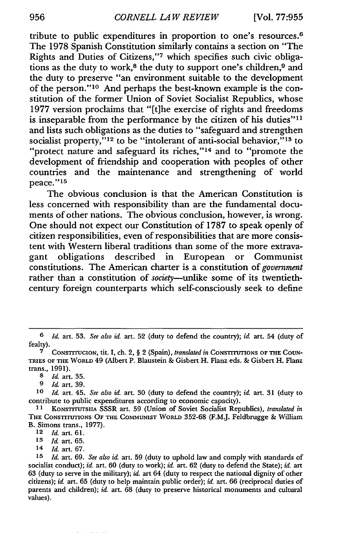tribute to public expenditures in proportion to one's resources. <sup>6</sup> The 1978 Spanish Constitution similarly contains a section on "The Rights and Duties of Citizens,"7 which specifies such civic obligations as the duty to work,<sup>8</sup> the duty to support one's children.<sup>9</sup> and the duty to preserve "an environment suitable to the development of the person."<sup>10</sup> And perhaps the best-known example is the constitution of the former Union of Soviet Socialist Republics, whose 1977 version proclaims that "[t]he exercise of rights and freedoms is inseparable from the performance by the citizen of his duties"! and lists such obligations as the duties to "safeguard and strengthen socialist property,"<sup>12</sup> to be "intolerant of anti-social behavior,"<sup>13</sup> to "protect nature and safeguard its riches,"<sup>14</sup> and to "promote the development of friendship and cooperation with peoples of other countries and the maintenance and strengthening of world peace."15

The obvious conclusion is that the American Constitution is less concerned with responsibility than are the fundamental documents of other nations. The obvious conclusion, however, is wrong. One should not expect our Constitution of 1787 to speak openly of citizen responsibilities, even of responsibilities that are more consistent with Western liberal traditions than some of the more extrava-<br>gant obligations described in European or Communist gant obligations described in constitutions. The American charter is a constitution of *government* rather than a constitution of *society-unlike* some of its twentiethcentury foreign counterparts which self-consciously seek to define

**9** *Id.* art. 39.

*10 Id.* art. 45. *See also id.* art. 30 (duty to defend the country); *id* art. 31 (duty to contribute to public expenditures according to economic capacity).

*12 Id.* art. **61.**

14 *Id.* art. **67.**

**<sup>6</sup>** *Id.* art. 53. *See also id.* art. **52** (duty to defend the country); *id.* art. 54 (duty of fealty).

**<sup>7</sup>** CONSTrrUCION, tit. I, ch. 2, § 2 (Spain), *translated in* CONSTITUTIONS OF THE COUN-TRIES OF THE WORLD 49 (Albert P. Blaustein & Gisbert H. Flanz eds. & Gisbert H. Fanz trans., 1991).

**<sup>8</sup>** *Id.* art. **35.**

**<sup>11</sup>**KONSTrrrUTSUA SSSR art. 59 (Union of Soviet Socialist Republics), *translated in* THE CONSTITUTIONS OF THE **COMMUNIST** WORLD **352-68** (F.MJ. Feldbrugge & William B. Simons trans., **1977).**

*<sup>13</sup> Id.* art. **65.**

*<sup>15</sup> Id.* art. **69.** *See also id.* art. **59** (duty to uphold law and comply with standards of socialist conduct); *id.* art. **60** (duty to work); *id.* art. **62** (duty to defend the State); *id.* art **63** (duty to serve in the military); *id.* art 64 (duty to respect the national dignity of other citizens); *id.* art. **65** (duty to help maintain public order); *id.* art. **66** (reciprocal duties of parents and children); *id.* art. **68** (duty to preserve historical monuments and cultural values).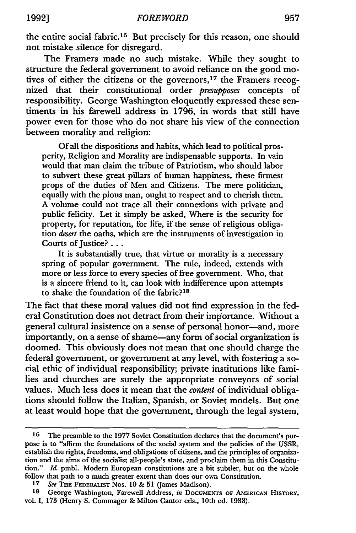the entire social fabric.<sup>16</sup> But precisely for this reason, one should not mistake silence for disregard.

The Framers made no such mistake. While they sought to structure the federal government to avoid reliance on the good motives of either the citizens or the governors,<sup>17</sup> the Framers recognized that their constitutional order *presupposes* concepts of responsibility. George Washington eloquently expressed these sentiments in his farewell address in 1796, in words that still have power even for those who do not share his view of the connection between morality and religion:

Of all the dispositions and habits, which lead to political prosperity, Religion and Morality are indispensable supports. In vain would that man claim the tribute of Patriotism, who should labor to subvert these great pillars of human happiness, these firmest props of the duties of Men and Citizens. The mere politician, equally with the pious man, ought to respect and to cherish them. A volume could not trace all their connexions with private and public felicity. Let it simply be asked, Where is the security for property, for reputation, for life, if the sense of religious obligation *desert* the oaths, which are the instruments of investigation in Courts of Justice? . . .

It is substantially true, that virtue or morality is a necessary spring of popular government. The rule, indeed, extends with more or less force to every species of free government. Who, that is a sincere friend to it, can look with indifference upon attempts to shake the foundation of the fabric?<sup>18</sup>

The fact that these moral values did not find expression in the federal Constitution does not detract from their importance. Without a general cultural insistence on a sense of personal honor-and, more importantly, on a sense of shame-any form of social organization is doomed. This obviously does not mean that one should charge the federal government, or government at any level, with fostering a social ethic of individual responsibility; private institutions like families and churches are surely the appropriate conveyors of social values. Much less does it mean that the *content* of individual obligations should follow the Italian, Spanish, or Soviet models. But one at least would hope that the government, through the legal system,

<sup>16</sup> The preamble to the 1977 Soviet Constitution declares that the document's purpose is to "affirm the foundations of the social system and the policies of the USSR, establish the rights, freedoms, and obligations of citizens, and the principles of organization and the aims of the socialist all-people's state, and proclaim them in this Constitution." *Id.* pmbl. Modem European constitutions are a bit subtler, but on the whole follow that path to a much greater extent than does our own Constitution.

*<sup>17</sup> See* THE FEDERALIST Nos. 10 & 51 (James Madison).

<sup>18</sup> George Washington, Farewell Address, *in* Documents of AMERICAN HISTORY, vol. **I, 173** (Henry S. Commager & Milton Cantor eds., 10th ed. 1988).